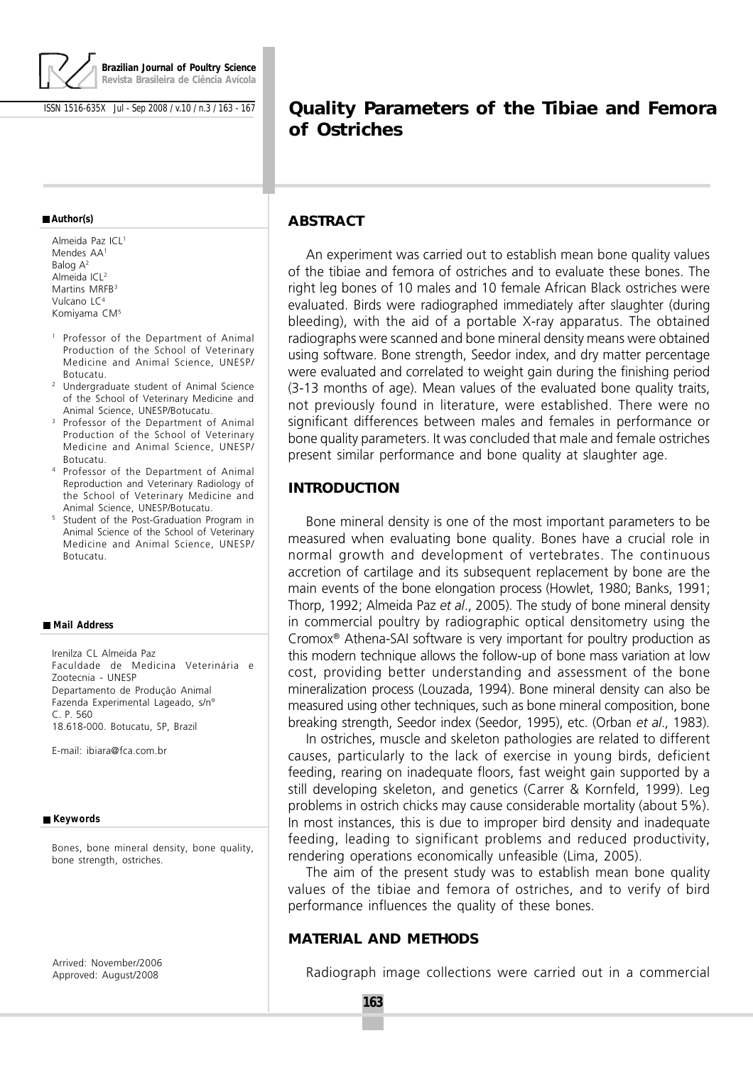

ISSN 1516-635X Jul - Sep 2008 / v.10 / n.3 / 163 - 167

#### **Author(s)**

Almeida Paz ICL<sup>1</sup> Mendes AA<sup>1</sup> Balog A<sup>2</sup> Almeida ICL<sup>2</sup> Martins MRFB<sup>3</sup> Vulcano LC<sup>4</sup> Komiyama CM<sup>5</sup>

- <sup>1</sup> Professor of the Department of Animal Production of the School of Veterinary Medicine and Animal Science, UNESP/ Botucatu.
- <sup>2</sup> Undergraduate student of Animal Science of the School of Veterinary Medicine and Animal Science, UNESP/Botucatu.
- <sup>3</sup> Professor of the Department of Animal Production of the School of Veterinary Medicine and Animal Science, UNESP/ Botucatu.
- <sup>4</sup> Professor of the Department of Animal Reproduction and Veterinary Radiology of the School of Veterinary Medicine and Animal Science, UNESP/Botucatu.
- <sup>5</sup> Student of the Post-Graduation Program in Animal Science of the School of Veterinary Medicine and Animal Science, UNESP/ Botucatu.

#### **Mail Address**

Irenilza CL Almeida Paz Faculdade de Medicina Veterinária e Zootecnia - UNESP Departamento de Produção Animal Fazenda Experimental Lageado, s/nº C. P. 560 18.618-000. Botucatu, SP, Brazil

E-mail: ibiara@fca.com.br

#### ■ Keywords

Bones, bone mineral density, bone quality, bone strength, ostriches.

Arrived: November/2006 Approved: August/2008

# **Quality Parameters of the Tibiae and Femora of Ostriches**

# **ABSTRACT**

An experiment was carried out to establish mean bone quality values of the tibiae and femora of ostriches and to evaluate these bones. The right leg bones of 10 males and 10 female African Black ostriches were evaluated. Birds were radiographed immediately after slaughter (during bleeding), with the aid of a portable X-ray apparatus. The obtained radiographs were scanned and bone mineral density means were obtained using software. Bone strength, Seedor index, and dry matter percentage were evaluated and correlated to weight gain during the finishing period (3-13 months of age). Mean values of the evaluated bone quality traits, not previously found in literature, were established. There were no significant differences between males and females in performance or bone quality parameters. It was concluded that male and female ostriches present similar performance and bone quality at slaughter age.

# **INTRODUCTION**

Bone mineral density is one of the most important parameters to be measured when evaluating bone quality. Bones have a crucial role in normal growth and development of vertebrates. The continuous accretion of cartilage and its subsequent replacement by bone are the main events of the bone elongation process (Howlet, 1980; Banks, 1991; Thorp, 1992; Almeida Paz et al., 2005). The study of bone mineral density in commercial poultry by radiographic optical densitometry using the Cromox® Athena-SAI software is very important for poultry production as this modern technique allows the follow-up of bone mass variation at low cost, providing better understanding and assessment of the bone mineralization process (Louzada, 1994). Bone mineral density can also be measured using other techniques, such as bone mineral composition, bone breaking strength, Seedor index (Seedor, 1995), etc. (Orban et al., 1983).

In ostriches, muscle and skeleton pathologies are related to different causes, particularly to the lack of exercise in young birds, deficient feeding, rearing on inadequate floors, fast weight gain supported by a still developing skeleton, and genetics (Carrer & Kornfeld, 1999). Leg problems in ostrich chicks may cause considerable mortality (about 5%). In most instances, this is due to improper bird density and inadequate feeding, leading to significant problems and reduced productivity, rendering operations economically unfeasible (Lima, 2005).

The aim of the present study was to establish mean bone quality values of the tibiae and femora of ostriches, and to verify of bird performance influences the quality of these bones.

# **MATERIAL AND METHODS**

Radiograph image collections were carried out in a commercial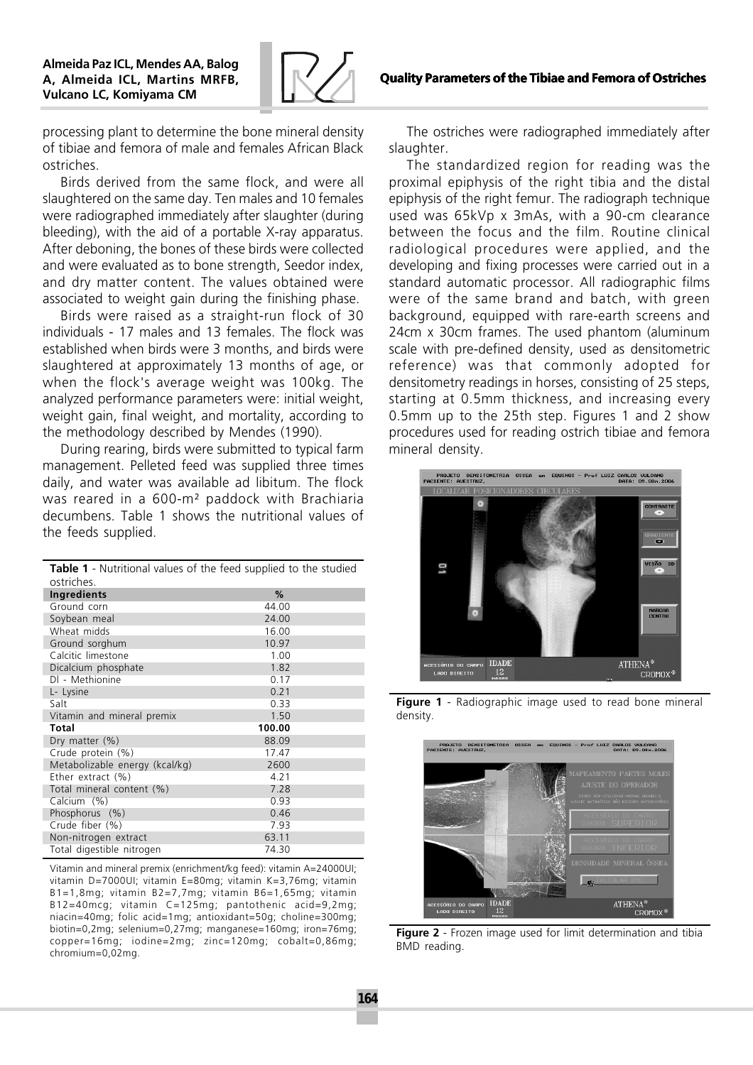

processing plant to determine the bone mineral density of tibiae and femora of male and females African Black ostriches.

Birds derived from the same flock, and were all slaughtered on the same day. Ten males and 10 females were radiographed immediately after slaughter (during bleeding), with the aid of a portable X-ray apparatus. After deboning, the bones of these birds were collected and were evaluated as to bone strength, Seedor index, and dry matter content. The values obtained were associated to weight gain during the finishing phase.

Birds were raised as a straight-run flock of 30 individuals - 17 males and 13 females. The flock was established when birds were 3 months, and birds were slaughtered at approximately 13 months of age, or when the flock's average weight was 100kg. The analyzed performance parameters were: initial weight, weight gain, final weight, and mortality, according to the methodology described by Mendes (1990).

During rearing, birds were submitted to typical farm management. Pelleted feed was supplied three times daily, and water was available ad libitum. The flock was reared in a 600-m² paddock with Brachiaria decumbens. Table 1 shows the nutritional values of the feeds supplied.

| Table 1 - Nutritional values of the feed supplied to the studied |        |
|------------------------------------------------------------------|--------|
| ostriches.                                                       |        |
| Ingredients                                                      | %      |
| Ground corn                                                      | 44.00  |
| Soybean meal                                                     | 24.00  |
| Wheat midds                                                      | 16.00  |
| Ground sorghum                                                   | 10.97  |
| Calcitic limestone                                               | 1.00   |
| Dicalcium phosphate                                              | 1.82   |
| DI - Methionine                                                  | 0.17   |
| L- Lysine                                                        | 0.21   |
| Salt                                                             | 0.33   |
| Vitamin and mineral premix                                       | 1.50   |
| Total                                                            | 100.00 |
| Dry matter $(\%)$                                                | 88.09  |
| Crude protein (%)                                                | 17.47  |
| Metabolizable energy (kcal/kg)                                   | 2600   |
| Ether extract (%)                                                | 4.21   |
| Total mineral content (%)                                        | 7.28   |
| Calcium (%)                                                      | 0.93   |
| Phosphorus (%)                                                   | 0.46   |
| Crude fiber (%)                                                  | 7.93   |
| Non-nitrogen extract                                             | 63.11  |
| Total digestible nitrogen                                        | 74.30  |

Vitamin and mineral premix (enrichment/kg feed): vitamin A=24000UI; vitamin D=7000UI; vitamin E=80mg; vitamin K=3,76mg; vitamin B1=1,8mg; vitamin B2=7,7mg; vitamin B6=1,65mg; vitamin B12=40mcg; vitamin C=125mg; pantothenic acid=9,2mg; niacin=40mg; folic acid=1mg; antioxidant=50g; choline=300mg; biotin=0,2mg; selenium=0,27mg; manganese=160mg; iron=76mg; copper=16mg; iodine=2mg; zinc=120mg; cobalt=0,86mg; chromium=0,02mg.

The ostriches were radiographed immediately after slaughter.

The standardized region for reading was the proximal epiphysis of the right tibia and the distal epiphysis of the right femur. The radiograph technique used was 65kVp x 3mAs, with a 90-cm clearance between the focus and the film. Routine clinical radiological procedures were applied, and the developing and fixing processes were carried out in a standard automatic processor. All radiographic films were of the same brand and batch, with green background, equipped with rare-earth screens and 24cm x 30cm frames. The used phantom (aluminum scale with pre-defined density, used as densitometric reference) was that commonly adopted for densitometry readings in horses, consisting of 25 steps, starting at 0.5mm thickness, and increasing every 0.5mm up to the 25th step. Figures 1 and 2 show procedures used for reading ostrich tibiae and femora mineral density.



Figure 1 - Radiographic image used to read bone mineral density.



Figure 2 - Frozen image used for limit determination and tibia BMD reading.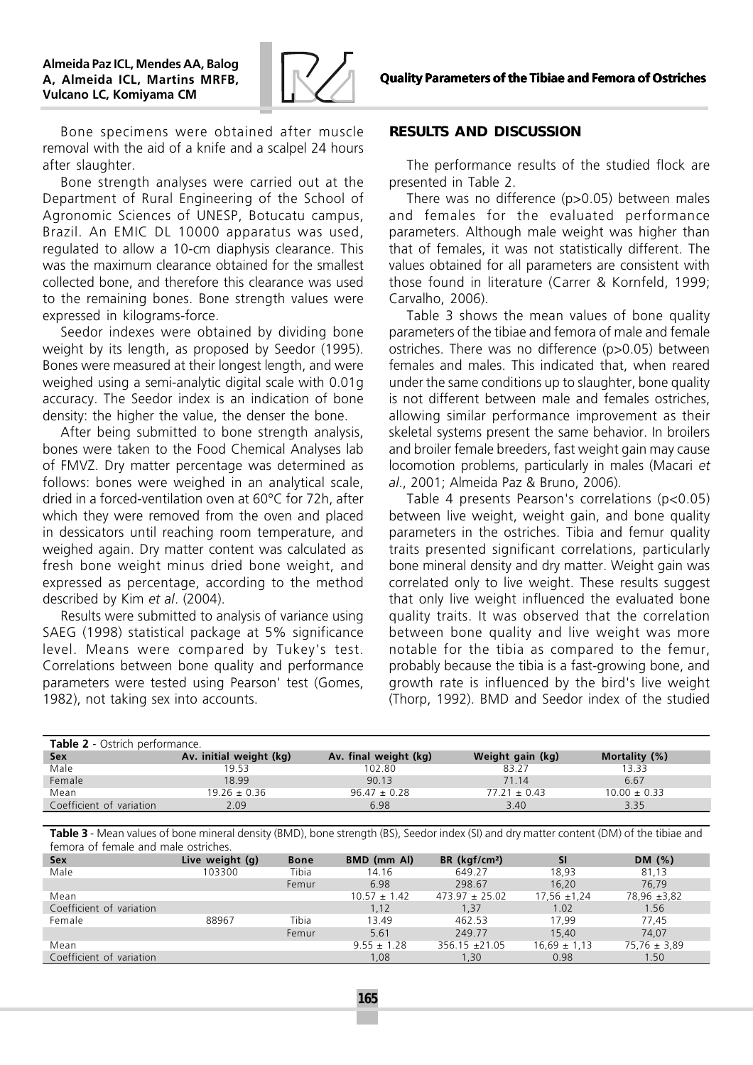

Bone specimens were obtained after muscle removal with the aid of a knife and a scalpel 24 hours after slaughter.

Bone strength analyses were carried out at the Department of Rural Engineering of the School of Agronomic Sciences of UNESP, Botucatu campus, Brazil. An EMIC DL 10000 apparatus was used, regulated to allow a 10-cm diaphysis clearance. This was the maximum clearance obtained for the smallest collected bone, and therefore this clearance was used to the remaining bones. Bone strength values were expressed in kilograms-force.

Seedor indexes were obtained by dividing bone weight by its length, as proposed by Seedor (1995). Bones were measured at their longest length, and were weighed using a semi-analytic digital scale with 0.01g accuracy. The Seedor index is an indication of bone density: the higher the value, the denser the bone.

After being submitted to bone strength analysis, bones were taken to the Food Chemical Analyses lab of FMVZ. Dry matter percentage was determined as follows: bones were weighed in an analytical scale, dried in a forced-ventilation oven at 60°C for 72h, after which they were removed from the oven and placed in dessicators until reaching room temperature, and weighed again. Dry matter content was calculated as fresh bone weight minus dried bone weight, and expressed as percentage, according to the method described by Kim et al. (2004).

Results were submitted to analysis of variance using SAEG (1998) statistical package at 5% significance level. Means were compared by Tukey's test. Correlations between bone quality and performance parameters were tested using Pearson' test (Gomes, 1982), not taking sex into accounts.

### **RESULTS AND DISCUSSION**

The performance results of the studied flock are presented in Table 2.

There was no difference (p>0.05) between males and females for the evaluated performance parameters. Although male weight was higher than that of females, it was not statistically different. The values obtained for all parameters are consistent with those found in literature (Carrer & Kornfeld, 1999; Carvalho, 2006).

Table 3 shows the mean values of bone quality parameters of the tibiae and femora of male and female ostriches. There was no difference (p>0.05) between females and males. This indicated that, when reared under the same conditions up to slaughter, bone quality is not different between male and females ostriches, allowing similar performance improvement as their skeletal systems present the same behavior. In broilers and broiler female breeders, fast weight gain may cause locomotion problems, particularly in males (Macari et al., 2001; Almeida Paz & Bruno, 2006).

Table 4 presents Pearson's correlations (p<0.05) between live weight, weight gain, and bone quality parameters in the ostriches. Tibia and femur quality traits presented significant correlations, particularly bone mineral density and dry matter. Weight gain was correlated only to live weight. These results suggest that only live weight influenced the evaluated bone quality traits. It was observed that the correlation between bone quality and live weight was more notable for the tibia as compared to the femur, probably because the tibia is a fast-growing bone, and growth rate is influenced by the bird's live weight (Thorp, 1992). BMD and Seedor index of the studied

| <b>Table 2</b> - Ostrich performance. |                         |                       |                  |                  |  |  |  |
|---------------------------------------|-------------------------|-----------------------|------------------|------------------|--|--|--|
| <b>Sex</b>                            | Av. initial weight (kg) | Av. final weight (kg) | Weight gain (kg) | Mortality (%)    |  |  |  |
| Male                                  | 19.53                   | 102.80                | 83.27            | 13.33            |  |  |  |
| Female                                | 18.99                   | 90.13                 | 71 14            | 6.67             |  |  |  |
| Mean                                  | $19.26 \pm 0.36$        | $96.47 \pm 0.28$      | $77.21 \pm 0.43$ | $10.00 \pm 0.33$ |  |  |  |
| Coefficient of variation              | 2.09                    | 6.98                  | 3.40             | 3.35             |  |  |  |

Table 3 - Mean values of bone mineral density (BMD), bone strength (BS), Seedor index (SI) and dry matter content (DM) of the tibiae and femora of female and male ostriches.

| <b>Sex</b>               | Live weight (g) | <b>Bone</b> | BMD (mm Al)      | BR (kgf/cm <sup>2</sup> ) | <b>SI</b>        | DM $(%)$         |
|--------------------------|-----------------|-------------|------------------|---------------------------|------------------|------------------|
| Male                     | 103300          | Tibia       | 14.16            | 649.27                    | 18,93            | 81,13            |
|                          |                 | Femur       | 6.98             | 298.67                    | 16,20            | 76.79            |
| Mean                     |                 |             | $10.57 \pm 1.42$ | $473.97 \pm 25.02$        | $17,56 \pm 1,24$ | 78,96 ±3,82      |
| Coefficient of variation |                 |             | 1,12             | 1,37                      | 1.02             | 1.56             |
| Female                   | 88967           | Tibia       | 13.49            | 462.53                    | 17.99            | 77.45            |
|                          |                 | Femur       | 5.61             | 249.77                    | 15.40            | 74.07            |
| Mean                     |                 |             | $9.55 \pm 1.28$  | $356.15 \pm 21.05$        | $16,69 \pm 1,13$ | $75,76 \pm 3,89$ |
| Coefficient of variation |                 |             | 1,08             | 1,30                      | 0.98             | 1.50             |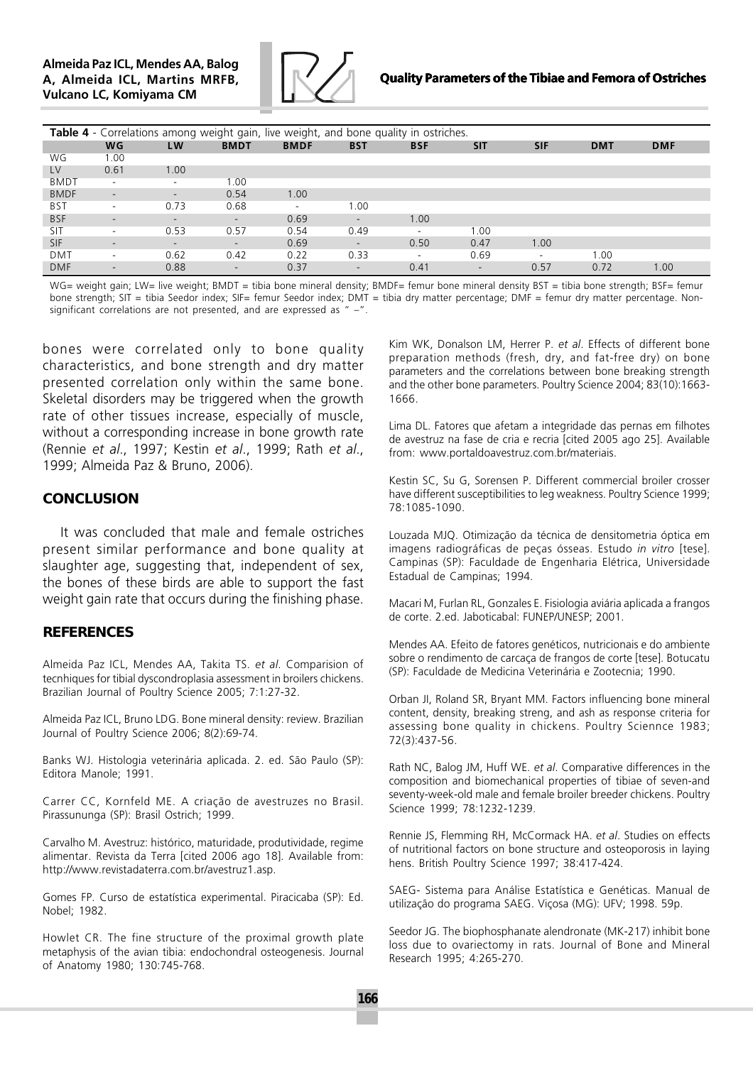

### Quality Parameters of the Tibiae and Femora of Ostriches

| Table 4 - Correlations among weight gain, live weight, and bone quality in ostriches. |           |                          |                          |                          |                          |                          |                          |            |            |            |
|---------------------------------------------------------------------------------------|-----------|--------------------------|--------------------------|--------------------------|--------------------------|--------------------------|--------------------------|------------|------------|------------|
|                                                                                       | <b>WG</b> | LW                       | <b>BMDT</b>              | <b>BMDF</b>              | <b>BST</b>               | <b>BSF</b>               | <b>SIT</b>               | <b>SIF</b> | <b>DMT</b> | <b>DMF</b> |
| WG                                                                                    | 1.00      |                          |                          |                          |                          |                          |                          |            |            |            |
| LV                                                                                    | 0.61      | 1.00                     |                          |                          |                          |                          |                          |            |            |            |
| <b>BMDT</b>                                                                           | ۰.        | $\overline{\phantom{a}}$ | 1.00                     |                          |                          |                          |                          |            |            |            |
| <b>BMDF</b>                                                                           | ۰.        | $\sim$                   | 0.54                     | 1.00                     |                          |                          |                          |            |            |            |
| <b>BST</b>                                                                            | ۰.        | 0.73                     | 0.68                     | $\overline{\phantom{a}}$ | 1.00                     |                          |                          |            |            |            |
| <b>BSF</b>                                                                            | ۰         | $\overline{\phantom{0}}$ | $\overline{\phantom{0}}$ | 0.69                     | $\sim$                   | 1.00                     |                          |            |            |            |
| SIT                                                                                   | ۰.        | 0.53                     | 0.57                     | 0.54                     | 0.49                     | $\overline{\phantom{a}}$ | 1.00                     |            |            |            |
| <b>SIF</b>                                                                            | -         | $\overline{\phantom{0}}$ | $\overline{\phantom{0}}$ | 0.69                     | $\overline{\phantom{a}}$ | 0.50                     | 0.47                     | 1.00       |            |            |
| <b>DMT</b>                                                                            | ۰         | 0.62                     | 0.42                     | 0.22                     | 0.33                     | ٠.                       | 0.69                     |            | 1.00       |            |
| <b>DMF</b>                                                                            | ۰         | 0.88                     | $\overline{\phantom{a}}$ | 0.37                     | $\overline{\phantom{a}}$ | 0.41                     | $\overline{\phantom{a}}$ | 0.57       | 0.72       | 1.00       |

WG= weight gain; LW= live weight; BMDT = tibia bone mineral density; BMDF= femur bone mineral density BST = tibia bone strength; BSF= femur bone strength; SIT = tibia Seedor index; SIF= femur Seedor index; DMT = tibia dry matter percentage; DMF = femur dry matter percentage. Nonsignificant correlations are not presented, and are expressed as " –".

bones were correlated only to bone quality characteristics, and bone strength and dry matter presented correlation only within the same bone. Skeletal disorders may be triggered when the growth rate of other tissues increase, especially of muscle, without a corresponding increase in bone growth rate (Rennie et al., 1997; Kestin et al., 1999; Rath et al., 1999; Almeida Paz & Bruno, 2006).

### **CONCLUSION**

It was concluded that male and female ostriches present similar performance and bone quality at slaughter age, suggesting that, independent of sex, the bones of these birds are able to support the fast weight gain rate that occurs during the finishing phase.

### **REFERENCES**

Almeida Paz ICL, Mendes AA, Takita TS. et al. Comparision of tecnhiques for tibial dyscondroplasia assessment in broilers chickens. Brazilian Journal of Poultry Science 2005; 7:1:27-32.

Almeida Paz ICL, Bruno LDG. Bone mineral density: review. Brazilian Journal of Poultry Science 2006; 8(2):69-74.

Banks WJ. Histologia veterinária aplicada. 2. ed. São Paulo (SP): Editora Manole; 1991.

Carrer CC, Kornfeld ME. A criação de avestruzes no Brasil. Pirassununga (SP): Brasil Ostrich; 1999.

Carvalho M. Avestruz: histórico, maturidade, produtividade, regime alimentar. Revista da Terra [cited 2006 ago 18]. Available from: http://www.revistadaterra.com.br/avestruz1.asp.

Gomes FP. Curso de estatística experimental. Piracicaba (SP): Ed. Nobel; 1982.

Howlet CR. The fine structure of the proximal growth plate metaphysis of the avian tibia: endochondral osteogenesis. Journal of Anatomy 1980; 130:745-768.

Kim WK, Donalson LM, Herrer P. et al. Effects of different bone preparation methods (fresh, dry, and fat-free dry) on bone parameters and the correlations between bone breaking strength and the other bone parameters. Poultry Science 2004; 83(10):1663- 1666.

Lima DL. Fatores que afetam a integridade das pernas em filhotes de avestruz na fase de cria e recria [cited 2005 ago 25]. Available from: www.portaldoavestruz.com.br/materiais.

Kestin SC, Su G, Sorensen P. Different commercial broiler crosser have different susceptibilities to leg weakness. Poultry Science 1999; 78:1085-1090.

Louzada MJQ. Otimização da técnica de densitometria óptica em imagens radiográficas de peças ósseas. Estudo in vitro [tese]. Campinas (SP): Faculdade de Engenharia Elétrica, Universidade Estadual de Campinas; 1994.

Macari M, Furlan RL, Gonzales E. Fisiologia aviária aplicada a frangos de corte. 2.ed. Jaboticabal: FUNEP/UNESP; 2001.

Mendes AA. Efeito de fatores genéticos, nutricionais e do ambiente sobre o rendimento de carcaça de frangos de corte [tese]. Botucatu (SP): Faculdade de Medicina Veterinária e Zootecnia; 1990.

Orban JI, Roland SR, Bryant MM. Factors influencing bone mineral content, density, breaking streng, and ash as response criteria for assessing bone quality in chickens. Poultry Sciennce 1983; 72(3):437-56.

Rath NC, Balog JM, Huff WE. et al. Comparative differences in the composition and biomechanical properties of tibiae of seven-and seventy-week-old male and female broiler breeder chickens. Poultry Science 1999; 78:1232-1239.

Rennie JS, Flemming RH, McCormack HA. et al. Studies on effects of nutritional factors on bone structure and osteoporosis in laying hens. British Poultry Science 1997; 38:417-424.

SAEG- Sistema para Análise Estatística e Genéticas. Manual de utilização do programa SAEG. Viçosa (MG): UFV; 1998. 59p.

Seedor JG. The biophosphanate alendronate (MK-217) inhibit bone loss due to ovariectomy in rats. Journal of Bone and Mineral Research 1995; 4:265-270.